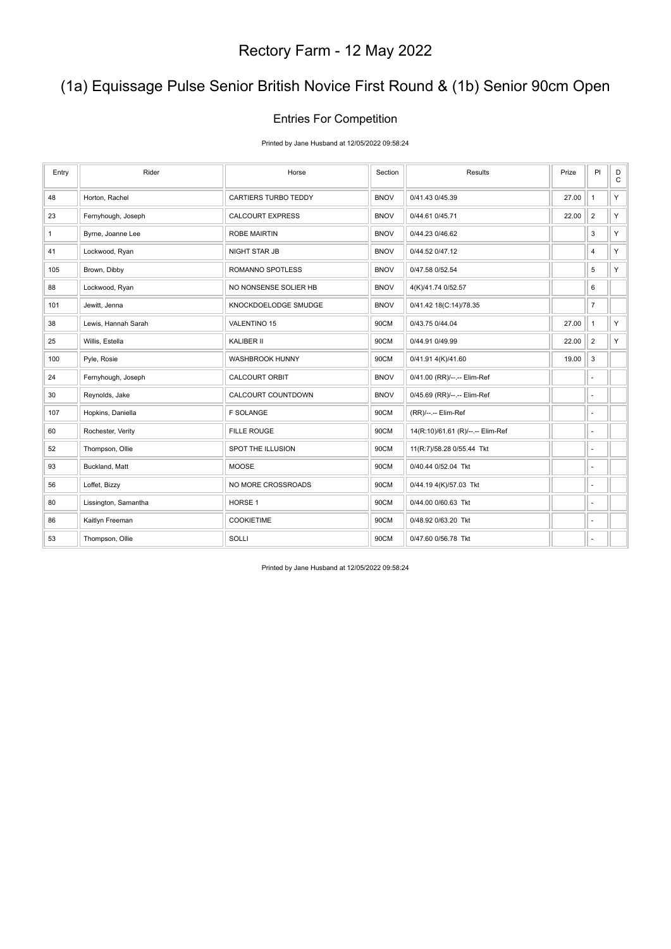# (1a) Equissage Pulse Senior British Novice First Round & (1b) Senior 90cm Open

#### Entries For Competition

Printed by Jane Husband at 12/05/2022 09:58:24

| Entry        | Rider                | Horse                   | Section     | Results                           | Prize | PI                       | D<br>$\mathtt{C}$ |
|--------------|----------------------|-------------------------|-------------|-----------------------------------|-------|--------------------------|-------------------|
| 48           | Horton, Rachel       | CARTIERS TURBO TEDDY    | <b>BNOV</b> | 0/41.43 0/45.39                   | 27.00 | $\mathbf{1}$             | Y                 |
| 23           | Fernyhough, Joseph   | <b>CALCOURT EXPRESS</b> | <b>BNOV</b> | 0/44.61 0/45.71                   | 22.00 | $\overline{2}$           | Y.                |
| $\mathbf{1}$ | Byrne, Joanne Lee    | <b>ROBE MAIRTIN</b>     | <b>BNOV</b> | 0/44.23 0/46.62                   |       | 3                        | Y                 |
| 41           | Lockwood, Ryan       | <b>NIGHT STAR JB</b>    | <b>BNOV</b> | 0/44.52 0/47.12                   |       | 4                        | Y.                |
| 105          | Brown, Dibby         | <b>ROMANNO SPOTLESS</b> | <b>BNOV</b> | 0/47.58 0/52.54                   |       | 5                        | Y                 |
| 88           | Lockwood, Ryan       | NO NONSENSE SOLIER HB   | <b>BNOV</b> | 4(K)/41.74 0/52.57                |       | 6                        |                   |
| 101          | Jewitt, Jenna        | KNOCKDOELODGE SMUDGE    | <b>BNOV</b> | 0/41.42 18(C:14)/78.35            |       | $\overline{7}$           |                   |
| 38           | Lewis, Hannah Sarah  | <b>VALENTINO 15</b>     | 90CM        | 0/43.75 0/44.04                   | 27.00 | $\mathbf{1}$             | Y.                |
| 25           | Willis, Estella      | KALIBER II              | 90CM        | 0/44.91 0/49.99                   | 22.00 | $\overline{2}$           | Y                 |
| 100          | Pyle, Rosie          | WASHBROOK HUNNY         | 90CM        | 0/41.91 4(K)/41.60                | 19.00 | 3                        |                   |
| 24           | Fernyhough, Joseph   | <b>CALCOURT ORBIT</b>   | <b>BNOV</b> | 0/41.00 (RR)/--.-- Elim-Ref       |       | $\overline{\phantom{a}}$ |                   |
| 30           | Reynolds, Jake       | CALCOURT COUNTDOWN      | <b>BNOV</b> | 0/45.69 (RR)/--.-- Elim-Ref       |       | ÷,                       |                   |
| 107          | Hopkins, Daniella    | <b>F SOLANGE</b>        | 90CM        | (RR)/--.-- Elim-Ref               |       | $\overline{\phantom{a}}$ |                   |
| 60           | Rochester, Verity    | <b>FILLE ROUGE</b>      | 90CM        | 14(R:10)/61.61 (R)/--.-- Elim-Ref |       | ÷,                       |                   |
| 52           | Thompson, Ollie      | SPOT THE ILLUSION       | 90CM        | 11(R:7)/58.28 0/55.44 Tkt         |       | $\overline{\phantom{a}}$ |                   |
| 93           | Buckland, Matt       | <b>MOOSE</b>            | 90CM        | 0/40.44 0/52.04 Tkt               |       | ٠                        |                   |
| 56           | Loffet, Bizzy        | NO MORE CROSSROADS      | 90CM        | 0/44.19 4(K)/57.03 Tkt            |       | $\overline{a}$           |                   |
| 80           | Lissington, Samantha | HORSE 1                 | 90CM        | 0/44.00 0/60.63 Tkt               |       | ä,                       |                   |
| 86           | Kaitlyn Freeman      | <b>COOKIETIME</b>       | 90CM        | 0/48.92 0/63.20 Tkt               |       | $\overline{\phantom{a}}$ |                   |
| 53           | Thompson, Ollie      | SOLLI                   | 90CM        | 0/47.60 0/56.78 Tkt               |       | ٠                        |                   |

Printed by Jane Husband at 12/05/2022 09:58:24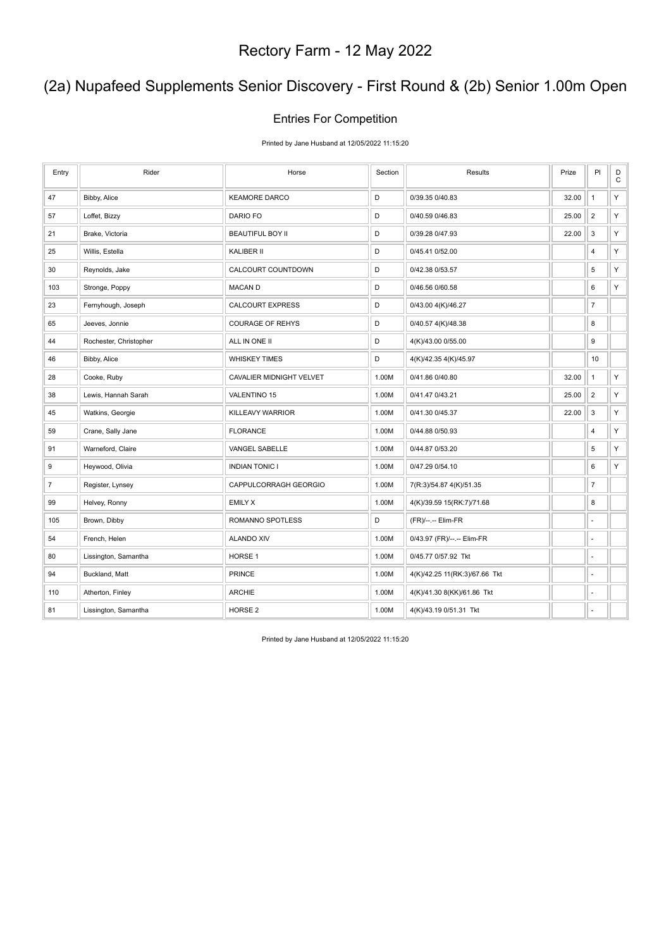# (2a) Nupafeed Supplements Senior Discovery - First Round & (2b) Senior 1.00m Open

#### Entries For Competition

Printed by Jane Husband at 12/05/2022 11:15:20

| Entry          | Rider                  | Horse                    | Section     | Results                       | Prize | PI             | D<br>$\mathbf C$ |
|----------------|------------------------|--------------------------|-------------|-------------------------------|-------|----------------|------------------|
| 47             | Bibby, Alice           | <b>KEAMORE DARCO</b>     | D           | 0/39.35 0/40.83               | 32.00 | $\mathbf{1}$   | Υ                |
| 57             | Loffet, Bizzy          | DARIO FO                 | D           | 0/40.59 0/46.83               | 25.00 | $\overline{2}$ | Y                |
| 21             | Brake, Victoria        | <b>BEAUTIFUL BOY II</b>  | D           | 0/39.28 0/47.93               | 22.00 | 3              | Y                |
| 25             | Willis, Estella        | KALIBER II               | D           | 0/45.41 0/52.00               |       | 4              | Υ                |
| 30             | Reynolds, Jake         | CALCOURT COUNTDOWN       | D           | 0/42.38 0/53.57               |       | 5              | Y                |
| 103            | Stronge, Poppy         | <b>MACAN D</b>           | $\mathsf D$ | 0/46.56 0/60.58               |       | 6              | Υ                |
| 23             | Fernyhough, Joseph     | <b>CALCOURT EXPRESS</b>  | D           | 0/43.00 4(K)/46.27            |       | $\overline{7}$ |                  |
| 65             | Jeeves, Jonnie         | <b>COURAGE OF REHYS</b>  | D           | 0/40.57 4(K)/48.38            |       | 8              |                  |
| 44             | Rochester, Christopher | ALL IN ONE II            | D           | 4(K)/43.00 0/55.00            |       | 9              |                  |
| 46             | Bibby, Alice           | <b>WHISKEY TIMES</b>     | D           | 4(K)/42.35 4(K)/45.97         |       | 10             |                  |
| 28             | Cooke, Ruby            | CAVALIER MIDNIGHT VELVET | 1.00M       | 0/41.86 0/40.80               | 32.00 | $\mathbf{1}$   | Υ                |
| 38             | Lewis, Hannah Sarah    | VALENTINO 15             | 1.00M       | 0/41.47 0/43.21               | 25.00 | $\overline{2}$ | Υ                |
| 45             | Watkins, Georgie       | KILLEAVY WARRIOR         | 1.00M       | 0/41.30 0/45.37               | 22.00 | $\mathsf 3$    | Υ                |
| 59             | Crane, Sally Jane      | <b>FLORANCE</b>          | 1.00M       | 0/44.88 0/50.93               |       | 4              | Y                |
| 91             | Warneford, Claire      | VANGEL SABELLE           | 1.00M       | 0/44.87 0/53.20               |       | 5              | Υ                |
| 9              | Heywood, Olivia        | <b>INDIAN TONIC I</b>    | 1.00M       | 0/47.29 0/54.10               |       | 6              | Y                |
| $\overline{7}$ | Register, Lynsey       | CAPPULCORRAGH GEORGIO    | 1.00M       | 7(R:3)/54.87 4(K)/51.35       |       | $\overline{7}$ |                  |
| 99             | Helvey, Ronny          | <b>EMILY X</b>           | 1.00M       | 4(K)/39.59 15(RK:7)/71.68     |       | 8              |                  |
| 105            | Brown, Dibby           | ROMANNO SPOTLESS         | D           | (FR)/--.-- Elim-FR            |       | ÷.             |                  |
| 54             | French, Helen          | <b>ALANDO XIV</b>        | 1.00M       | 0/43.97 (FR)/--.-- Elim-FR    |       | ä,             |                  |
| 80             | Lissington, Samantha   | HORSE 1                  | 1.00M       | 0/45.77 0/57.92 Tkt           |       | ÷,             |                  |
| 94             | Buckland, Matt         | <b>PRINCE</b>            | 1.00M       | 4(K)/42.25 11(RK:3)/67.66 Tkt |       | ÷,             |                  |
| 110            | Atherton, Finley       | <b>ARCHIE</b>            | 1.00M       | 4(K)/41.30 8(KK)/61.86 Tkt    |       | ä,             |                  |
| 81             | Lissington, Samantha   | HORSE <sub>2</sub>       | 1.00M       | 4(K)/43.19 0/51.31 Tkt        |       | ä,             |                  |

Printed by Jane Husband at 12/05/2022 11:15:20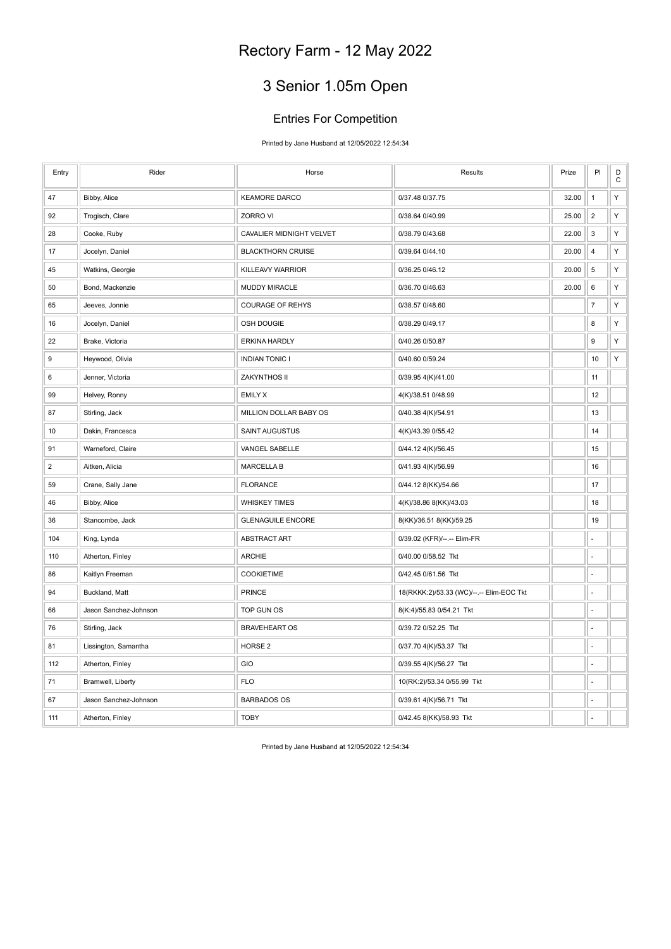# 3 Senior 1.05m Open

#### Entries For Competition

Printed by Jane Husband at 12/05/2022 12:54:34

| Entry          | Rider                 | Horse                    | Results                                  | Prize | PI             | D<br>$\mathsf C$ |
|----------------|-----------------------|--------------------------|------------------------------------------|-------|----------------|------------------|
| 47             | Bibby, Alice          | <b>KEAMORE DARCO</b>     | 0/37.48 0/37.75                          | 32.00 | $\mathbf{1}$   | Υ                |
| 92             | Trogisch, Clare       | ZORRO VI                 | 0/38.64 0/40.99                          | 25.00 | $\overline{2}$ | Υ                |
| 28             | Cooke, Ruby           | CAVALIER MIDNIGHT VELVET | 0/38.79 0/43.68                          | 22.00 | 3              | Υ                |
| 17             | Jocelyn, Daniel       | <b>BLACKTHORN CRUISE</b> | 0/39.64 0/44.10                          | 20.00 | $\sqrt{4}$     | Υ                |
| 45             | Watkins, Georgie      | KILLEAVY WARRIOR         | 0/36.25 0/46.12                          | 20.00 | $\,$ 5 $\,$    | Υ                |
| 50             | Bond, Mackenzie       | <b>MUDDY MIRACLE</b>     | 0/36.70 0/46.63                          | 20.00 | 6              | Υ                |
| 65             | Jeeves, Jonnie        | <b>COURAGE OF REHYS</b>  | 0/38.57 0/48.60                          |       | $\overline{7}$ | Υ                |
| 16             | Jocelyn, Daniel       | OSH DOUGIE               | 0/38.29 0/49.17                          |       | 8              | Υ                |
| 22             | Brake, Victoria       | <b>ERKINA HARDLY</b>     | 0/40.26 0/50.87                          |       | 9              | Υ                |
| 9              | Heywood, Olivia       | <b>INDIAN TONIC I</b>    | 0/40.60 0/59.24                          |       | 10             | Υ                |
| 6              | Jenner, Victoria      | ZAKYNTHOS II             | 0/39.95 4(K)/41.00                       |       | 11             |                  |
| 99             | Helvey, Ronny         | <b>EMILY X</b>           | 4(K)/38.51 0/48.99                       |       | 12             |                  |
| 87             | Stirling, Jack        | MILLION DOLLAR BABY OS   | 0/40.38 4(K)/54.91                       |       | 13             |                  |
| 10             | Dakin, Francesca      | <b>SAINT AUGUSTUS</b>    | 4(K)/43.39 0/55.42                       |       | 14             |                  |
| 91             | Warneford, Claire     | VANGEL SABELLE           | 0/44.12 4(K)/56.45                       |       | 15             |                  |
| $\overline{2}$ | Aitken, Alicia        | <b>MARCELLA B</b>        | 0/41.93 4(K)/56.99                       |       | 16             |                  |
| 59             | Crane, Sally Jane     | <b>FLORANCE</b>          | 0/44.12 8(KK)/54.66                      |       | 17             |                  |
| 46             | Bibby, Alice          | <b>WHISKEY TIMES</b>     | 4(K)/38.86 8(KK)/43.03                   |       | 18             |                  |
| 36             | Stancombe, Jack       | <b>GLENAGUILE ENCORE</b> | 8(KK)/36.51 8(KK)/59.25                  |       | 19             |                  |
| 104            | King, Lynda           | <b>ABSTRACT ART</b>      | 0/39.02 (KFR)/--.-- Elim-FR              |       | ä,             |                  |
| 110            | Atherton, Finley      | <b>ARCHIE</b>            | 0/40.00 0/58.52 Tkt                      |       | ÷,             |                  |
| 86             | Kaitlyn Freeman       | COOKIETIME               | 0/42.45 0/61.56 Tkt                      |       | ä,             |                  |
| 94             | Buckland, Matt        | <b>PRINCE</b>            | 18(RKKK:2)/53.33 (WC)/--.-- Elim-EOC Tkt |       | ÷,             |                  |
| 66             | Jason Sanchez-Johnson | TOP GUN OS               | 8(K:4)/55.83 0/54.21 Tkt                 |       | ÷,             |                  |
| 76             | Stirling, Jack        | <b>BRAVEHEART OS</b>     | 0/39.72 0/52.25 Tkt                      |       | Ĭ.             |                  |
| 81             | Lissington, Samantha  | HORSE <sub>2</sub>       | 0/37.70 4(K)/53.37 Tkt                   |       | L.             |                  |
| 112            | Atherton, Finley      | GIO                      | 0/39.55 4(K)/56.27 Tkt                   |       | ÷,             |                  |
| 71             | Bramwell, Liberty     | <b>FLO</b>               | 10(RK:2)/53.34 0/55.99 Tkt               |       | ÷,             |                  |
| 67             | Jason Sanchez-Johnson | <b>BARBADOS OS</b>       | 0/39.61 4(K)/56.71 Tkt                   |       |                |                  |
| 111            | Atherton, Finley      | <b>TOBY</b>              | 0/42.45 8(KK)/58.93 Tkt                  |       |                |                  |

Printed by Jane Husband at 12/05/2022 12:54:34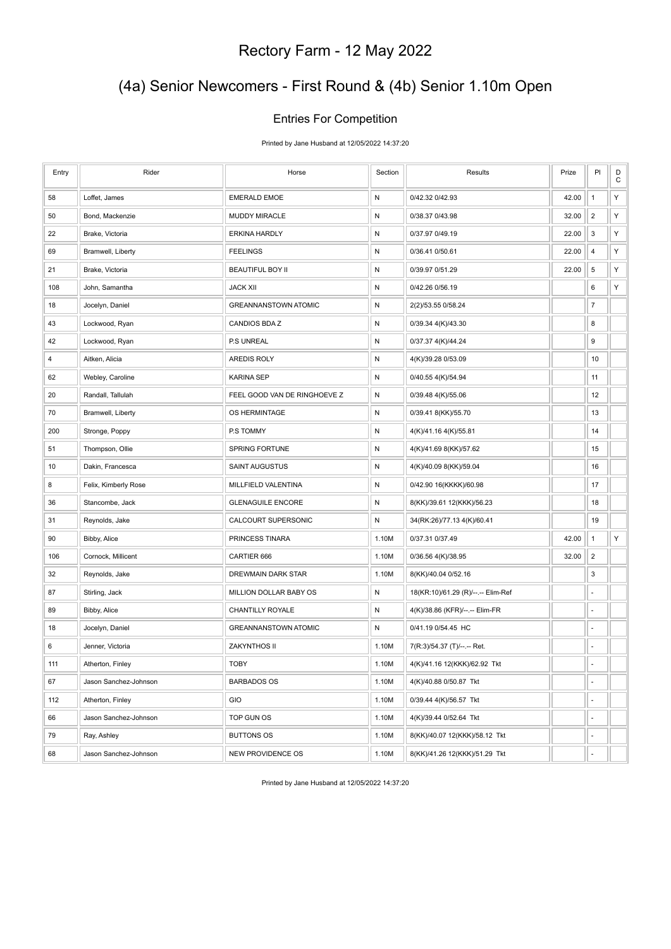# (4a) Senior Newcomers - First Round & (4b) Senior 1.10m Open

#### Entries For Competition

Printed by Jane Husband at 12/05/2022 14:37:20

| Entry | Rider                 | Horse                        | Section   | Results                            | Prize | PI             | D<br>$\mathbf C$ |
|-------|-----------------------|------------------------------|-----------|------------------------------------|-------|----------------|------------------|
| 58    | Loffet, James         | <b>EMERALD EMOE</b>          | ${\sf N}$ | 0/42.32 0/42.93                    | 42.00 | $\mathbf{1}$   | Y                |
| 50    | Bond, Mackenzie       | <b>MUDDY MIRACLE</b>         | N         | 0/38.37 0/43.98                    | 32.00 | $\overline{2}$ | Υ                |
| 22    | Brake, Victoria       | <b>ERKINA HARDLY</b>         | ${\sf N}$ | 0/37.97 0/49.19                    | 22.00 | 3              | Y                |
| 69    | Bramwell, Liberty     | <b>FEELINGS</b>              | N         | 0/36.41 0/50.61                    | 22.00 | $\overline{4}$ | Υ                |
| 21    | Brake, Victoria       | <b>BEAUTIFUL BOY II</b>      | N         | 0/39.97 0/51.29                    | 22.00 | 5              | Υ                |
| 108   | John, Samantha        | <b>JACK XII</b>              | ${\sf N}$ | 0/42.26 0/56.19                    |       | 6              | Y                |
| 18    | Jocelyn, Daniel       | <b>GREANNANSTOWN ATOMIC</b>  | N         | 2(2)/53.55 0/58.24                 |       | $\overline{7}$ |                  |
| 43    | Lockwood, Ryan        | CANDIOS BDAZ                 | ${\sf N}$ | 0/39.34 4(K)/43.30                 |       | 8              |                  |
| 42    | Lockwood, Ryan        | P.S UNREAL                   | N         | 0/37.37 4(K)/44.24                 |       | 9              |                  |
| 4     | Aitken, Alicia        | <b>AREDIS ROLY</b>           | N         | 4(K)/39.28 0/53.09                 |       | 10             |                  |
| 62    | Webley, Caroline      | <b>KARINA SEP</b>            | ${\sf N}$ | 0/40.55 4(K)/54.94                 |       | 11             |                  |
| 20    | Randall, Tallulah     | FEEL GOOD VAN DE RINGHOEVE Z | N         | 0/39.48 4(K)/55.06                 |       | 12             |                  |
| 70    | Bramwell, Liberty     | OS HERMINTAGE                | N         | 0/39.41 8(KK)/55.70                |       | 13             |                  |
| 200   | Stronge, Poppy        | P.S TOMMY                    | ${\sf N}$ | 4(K)/41.16 4(K)/55.81              |       | 14             |                  |
| 51    | Thompson, Ollie       | SPRING FORTUNE               | N         | 4(K)/41.69 8(KK)/57.62             |       | 15             |                  |
| 10    | Dakin, Francesca      | SAINT AUGUSTUS               | N         | 4(K)/40.09 8(KK)/59.04             |       | 16             |                  |
| 8     | Felix, Kimberly Rose  | MILLFIELD VALENTINA          | ${\sf N}$ | 0/42.90 16(KKKK)/60.98             |       | 17             |                  |
| 36    | Stancombe, Jack       | <b>GLENAGUILE ENCORE</b>     | N         | 8(KK)/39.61 12(KKK)/56.23          |       | 18             |                  |
| 31    | Reynolds, Jake        | CALCOURT SUPERSONIC          | N         | 34(RK:26)/77.13 4(K)/60.41         |       | 19             |                  |
| 90    | Bibby, Alice          | PRINCESS TINARA              | 1.10M     | 0/37.31 0/37.49                    | 42.00 | $\mathbf{1}$   | Υ                |
| 106   | Cornock, Millicent    | CARTIER 666                  | 1.10M     | 0/36.56 4(K)/38.95                 | 32.00 | $\overline{2}$ |                  |
| 32    | Reynolds, Jake        | DREWMAIN DARK STAR           | 1.10M     | 8(KK)/40.04 0/52.16                |       | 3              |                  |
| 87    | Stirling, Jack        | MILLION DOLLAR BABY OS       | N         | 18(KR:10)/61.29 (R)/--.-- Elim-Ref |       |                |                  |
| 89    | Bibby, Alice          | CHANTILLY ROYALE             | N         | 4(K)/38.86 (KFR)/--.-- Elim-FR     |       | ä,             |                  |
| 18    | Jocelyn, Daniel       | <b>GREANNANSTOWN ATOMIC</b>  | N         | 0/41.19 0/54.45 HC                 |       | ÷,             |                  |
| 6     | Jenner, Victoria      | ZAKYNTHOS II                 | 1.10M     | 7(R:3)/54.37 (T)/--.-- Ret.        |       | ä,             |                  |
| 111   | Atherton, Finley      | <b>TOBY</b>                  | 1.10M     | 4(K)/41.16 12(KKK)/62.92 Tkt       |       | ä,             |                  |
| 67    | Jason Sanchez-Johnson | <b>BARBADOS OS</b>           | 1.10M     | 4(K)/40.88 0/50.87 Tkt             |       | $\frac{1}{2}$  |                  |
| 112   | Atherton, Finley      | GIO                          | 1.10M     | 0/39.44 4(K)/56.57 Tkt             |       | ÷.             |                  |
| 66    | Jason Sanchez-Johnson | TOP GUN OS                   | 1.10M     | 4(K)/39.44 0/52.64 Tkt             |       | ä,             |                  |
| 79    | Ray, Ashley           | <b>BUTTONS OS</b>            | 1.10M     | 8(KK)/40.07 12(KKK)/58.12 Tkt      |       | ÷,             |                  |
| 68    | Jason Sanchez-Johnson | NEW PROVIDENCE OS            | 1.10M     | 8(KK)/41.26 12(KKK)/51.29 Tkt      |       | ä,             |                  |

Printed by Jane Husband at 12/05/2022 14:37:20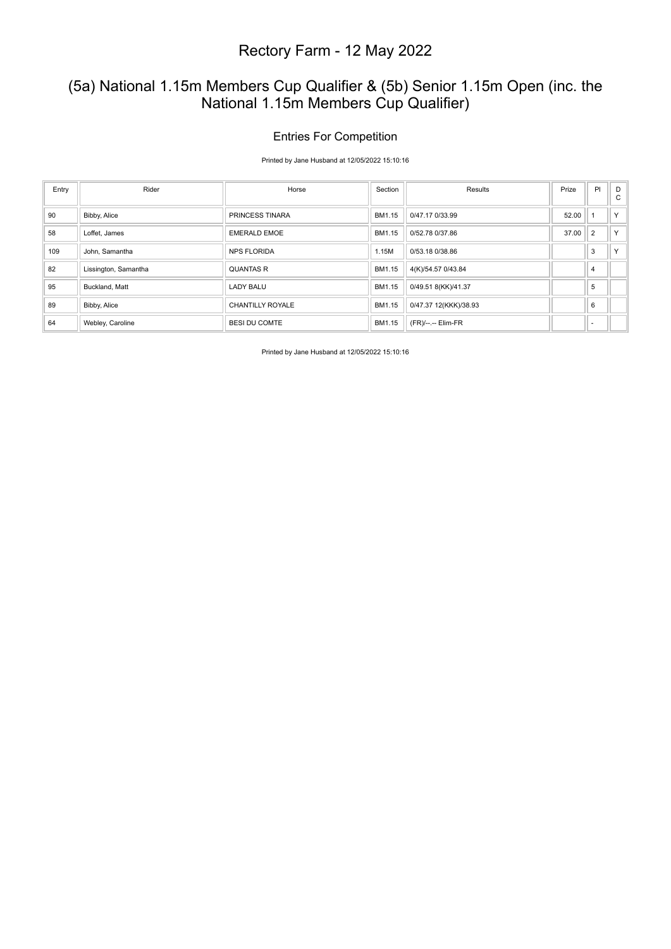### (5a) National 1.15m Members Cup Qualifier & (5b) Senior 1.15m Open (inc. the National 1.15m Members Cup Qualifier)

#### Entries For Competition

Printed by Jane Husband at 12/05/2022 15:10:16

| Entry | Rider                | Horse                   | Section | Results               | Prize | PI             | D<br>$\mathbf{C}$ |
|-------|----------------------|-------------------------|---------|-----------------------|-------|----------------|-------------------|
| 90    | Bibby, Alice         | <b>PRINCESS TINARA</b>  | BM1.15  | 0/47.17 0/33.99       | 52.00 |                | Y.                |
| 58    | Loffet, James        | <b>EMERALD EMOE</b>     | BM1.15  | 0/52.78 0/37.86       | 37.00 | $\overline{2}$ | Y                 |
| 109   | John, Samantha       | <b>NPS FLORIDA</b>      | 1.15M   | 0/53.18 0/38.86       |       | 3              | $\vee$            |
| 82    | Lissington, Samantha | <b>QUANTAS R</b>        | BM1.15  | 4(K)/54.57 0/43.84    |       | $\overline{4}$ |                   |
| 95    | Buckland, Matt       | <b>LADY BALU</b>        | BM1.15  | 0/49.51 8(KK)/41.37   |       | 5              |                   |
| 89    | Bibby, Alice         | <b>CHANTILLY ROYALE</b> | BM1.15  | 0/47.37 12(KKK)/38.93 |       | 6              |                   |
| 64    | Webley, Caroline     | <b>BESI DU COMTE</b>    | BM1.15  | (FR)/--.-- Elim-FR    |       |                |                   |

Printed by Jane Husband at 12/05/2022 15:10:16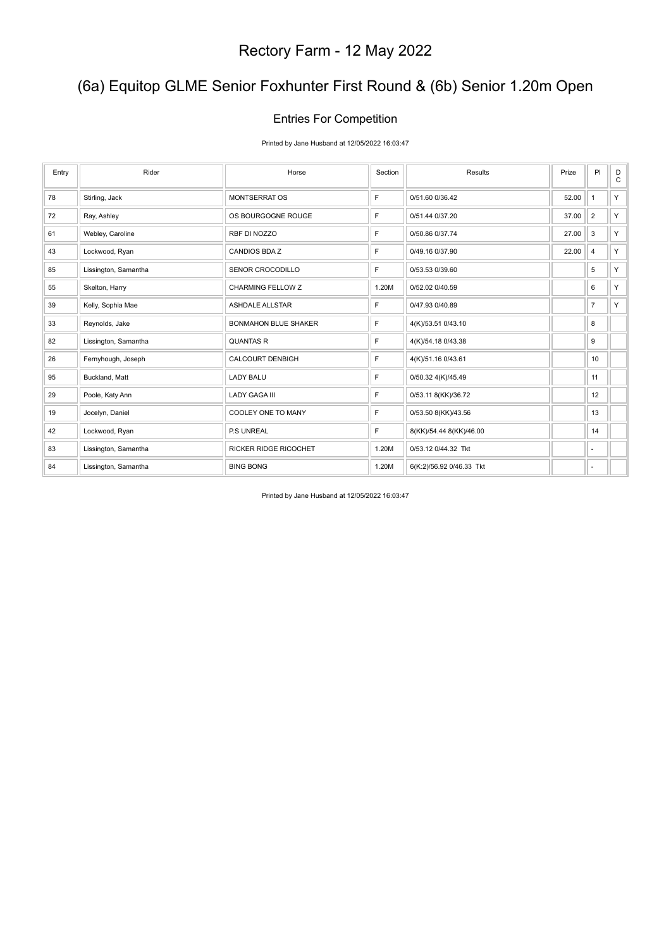# (6a) Equitop GLME Senior Foxhunter First Round & (6b) Senior 1.20m Open

#### Entries For Competition

Printed by Jane Husband at 12/05/2022 16:03:47

| Entry | Rider                | Horse                       | Section | Results                  | Prize | PI             | D<br>$\mathsf{C}$ |
|-------|----------------------|-----------------------------|---------|--------------------------|-------|----------------|-------------------|
| 78    | Stirling, Jack       | <b>MONTSERRAT OS</b>        | F       | 0/51.60 0/36.42          | 52.00 | $\mathbf{1}$   | Y.                |
| 72    | Ray, Ashley          | OS BOURGOGNE ROUGE          | F.      | 0/51.44 0/37.20          | 37.00 | $\overline{2}$ | Y.                |
| 61    | Webley, Caroline     | RBF DI NOZZO                | F       | 0/50.86 0/37.74          | 27.00 | 3              | Y.                |
| 43    | Lockwood, Ryan       | CANDIOS BDAZ                | F.      | 0/49.16 0/37.90          | 22.00 | $\overline{4}$ | Y.                |
| 85    | Lissington, Samantha | SENOR CROCODILLO            | F       | 0/53.53 0/39.60          |       | 5              | Y.                |
| 55    | Skelton, Harry       | <b>CHARMING FELLOW Z</b>    | 1.20M   | 0/52.02 0/40.59          |       | 6              | Y.                |
| 39    | Kelly, Sophia Mae    | <b>ASHDALE ALLSTAR</b>      | F       | 0/47.93 0/40.89          |       | $\overline{7}$ | Y.                |
| 33    | Reynolds, Jake       | <b>BONMAHON BLUE SHAKER</b> | F.      | 4(K)/53.51 0/43.10       |       | 8              |                   |
| 82    | Lissington, Samantha | <b>QUANTAS R</b>            | F.      | 4(K)/54.18 0/43.38       |       | 9              |                   |
| 26    | Fernyhough, Joseph   | CALCOURT DENBIGH            | F       | 4(K)/51.16 0/43.61       |       | 10             |                   |
| 95    | Buckland, Matt       | <b>LADY BALU</b>            | F       | 0/50.32 4(K)/45.49       |       | 11             |                   |
| 29    | Poole, Katy Ann      | <b>LADY GAGA III</b>        | F.      | 0/53.11 8(KK)/36.72      |       | 12             |                   |
| 19    | Jocelyn, Daniel      | COOLEY ONE TO MANY          | F       | 0/53.50 8(KK)/43.56      |       | 13             |                   |
| 42    | Lockwood, Ryan       | P.S UNREAL                  | F       | 8(KK)/54.44 8(KK)/46.00  |       | 14             |                   |
| 83    | Lissington, Samantha | RICKER RIDGE RICOCHET       | 1.20M   | 0/53.12 0/44.32 Tkt      |       | $\sim$         |                   |
| 84    | Lissington, Samantha | <b>BING BONG</b>            | 1.20M   | 6(K:2)/56.92 0/46.33 Tkt |       | ٠              |                   |

Printed by Jane Husband at 12/05/2022 16:03:47